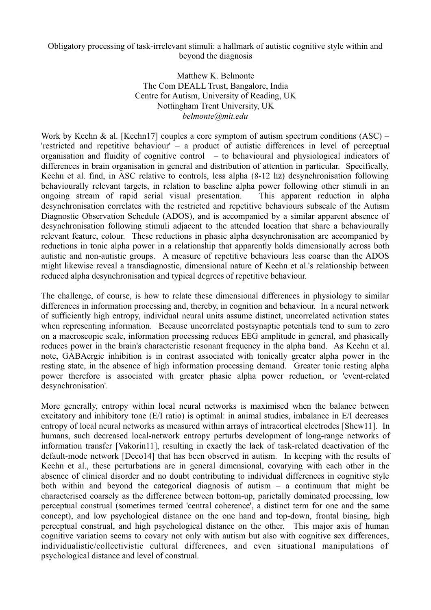## Obligatory processing of task-irrelevant stimuli: a hallmark of autistic cognitive style within and beyond the diagnosis

Matthew K. Belmonte The Com DEALL Trust, Bangalore, India Centre for Autism, University of Reading, UK Nottingham Trent University, UK *belmonte@mit.edu*

Work by Keehn & al. [Keehn17] couples a core symptom of autism spectrum conditions  $(ASC)$  – 'restricted and repetitive behaviour' – a product of autistic differences in level of perceptual organisation and fluidity of cognitive control – to behavioural and physiological indicators of differences in brain organisation in general and distribution of attention in particular. Specifically, Keehn et al. find, in ASC relative to controls, less alpha (8-12 hz) desynchronisation following behaviourally relevant targets, in relation to baseline alpha power following other stimuli in an ongoing stream of rapid serial visual presentation. This apparent reduction in alpha desynchronisation correlates with the restricted and repetitive behaviours subscale of the Autism Diagnostic Observation Schedule (ADOS), and is accompanied by a similar apparent absence of desynchronisation following stimuli adjacent to the attended location that share a behaviourally relevant feature, colour. These reductions in phasic alpha desynchronisation are accompanied by reductions in tonic alpha power in a relationship that apparently holds dimensionally across both autistic and non-autistic groups. A measure of repetitive behaviours less coarse than the ADOS might likewise reveal a transdiagnostic, dimensional nature of Keehn et al.'s relationship between reduced alpha desynchronisation and typical degrees of repetitive behaviour.

The challenge, of course, is how to relate these dimensional differences in physiology to similar differences in information processing and, thereby, in cognition and behaviour. In a neural network of sufficiently high entropy, individual neural units assume distinct, uncorrelated activation states when representing information. Because uncorrelated postsynaptic potentials tend to sum to zero on a macroscopic scale, information processing reduces EEG amplitude in general, and phasically reduces power in the brain's characteristic resonant frequency in the alpha band. As Keehn et al. note, GABAergic inhibition is in contrast associated with tonically greater alpha power in the resting state, in the absence of high information processing demand. Greater tonic resting alpha power therefore is associated with greater phasic alpha power reduction, or 'event-related desynchronisation'.

More generally, entropy within local neural networks is maximised when the balance between excitatory and inhibitory tone (E/I ratio) is optimal: in animal studies, imbalance in E/I decreases entropy of local neural networks as measured within arrays of intracortical electrodes [Shew11]. In humans, such decreased local-network entropy perturbs development of long-range networks of information transfer [Vakorin11], resulting in exactly the lack of task-related deactivation of the default-mode network [Deco14] that has been observed in autism. In keeping with the results of Keehn et al., these perturbations are in general dimensional, covarying with each other in the absence of clinical disorder and no doubt contributing to individual differences in cognitive style both within and beyond the categorical diagnosis of autism – a continuum that might be characterised coarsely as the difference between bottom-up, parietally dominated processing, low perceptual construal (sometimes termed 'central coherence', a distinct term for one and the same concept), and low psychological distance on the one hand and top-down, frontal biasing, high perceptual construal, and high psychological distance on the other. This major axis of human cognitive variation seems to covary not only with autism but also with cognitive sex differences, individualistic/collectivistic cultural differences, and even situational manipulations of psychological distance and level of construal.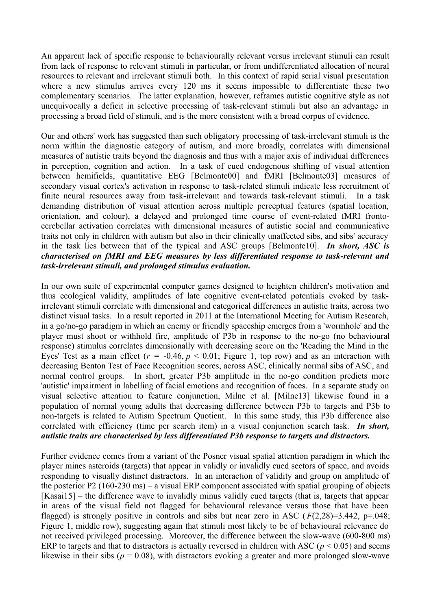An apparent lack of specific response to behaviourally relevant versus irrelevant stimuli can result from lack of response to relevant stimuli in particular, or from undifferentiated allocation of neural resources to relevant and irrelevant stimuli both. In this context of rapid serial visual presentation where a new stimulus arrives every 120 ms it seems impossible to differentiate these two complementary scenarios. The latter explanation, however, reframes autistic cognitive style as not unequivocally a deficit in selective processing of task-relevant stimuli but also an advantage in processing a broad field of stimuli, and is the more consistent with a broad corpus of evidence.

Our and others' work has suggested than such obligatory processing of task-irrelevant stimuli is the norm within the diagnostic category of autism, and more broadly, correlates with dimensional measures of autistic traits beyond the diagnosis and thus with a major axis of individual differences in perception, cognition and action. In a task of cued endogenous shifting of visual attention between hemifields, quantitative EEG [Belmonte00] and fMRI [Belmonte03] measures of secondary visual cortex's activation in response to task-related stimuli indicate less recruitment of finite neural resources away from task-irrelevant and towards task-relevant stimuli. In a task demanding distribution of visual attention across multiple perceptual features (spatial location, orientation, and colour), a delayed and prolonged time course of event-related fMRI frontocerebellar activation correlates with dimensional measures of autistic social and communicative traits not only in children with autism but also in their clinically unaffected sibs, and sibs' accuracy in the task lies between that of the typical and ASC groups [Belmonte10]. *In short, ASC is characterised on fMRI and EEG measures by less differentiated response to task-relevant and task-irrelevant stimuli, and prolonged stimulus evaluation.*

In our own suite of experimental computer games designed to heighten children's motivation and thus ecological validity, amplitudes of late cognitive event-related potentials evoked by taskirrelevant stimuli correlate with dimensional and categorical differences in autistic traits, across two distinct visual tasks. In a result reported in 2011 at the International Meeting for Autism Research, in a go/no-go paradigm in which an enemy or friendly spaceship emerges from a 'wormhole' and the player must shoot or withhold fire, amplitude of P3b in response to the no-go (no behavioural response) stimulus correlates dimensionally with decreasing score on the 'Reading the Mind in the Eyes' Test as a main effect  $(r = -0.46, p < 0.01$ ; Figure 1, top row) and as an interaction with decreasing Benton Test of Face Recognition scores, across ASC, clinically normal sibs of ASC, and normal control groups. In short, greater P3b amplitude in the no-go condition predicts more 'autistic' impairment in labelling of facial emotions and recognition of faces. In a separate study on visual selective attention to feature conjunction, Milne et al. [Milne13] likewise found in a population of normal young adults that decreasing difference between P3b to targets and P3b to non-targets is related to Autism Spectrum Quotient. In this same study, this P3b difference also correlated with efficiency (time per search item) in a visual conjunction search task. *In short, autistic traits are characterised by less differentiated P3b response to targets and distractors.*

Further evidence comes from a variant of the Posner visual spatial attention paradigm in which the player mines asteroids (targets) that appear in validly or invalidly cued sectors of space, and avoids responding to visually distinct distractors. In an interaction of validity and group on amplitude of the posterior P2 (160-230 ms) – a visual ERP component associated with spatial grouping of objects [Kasai15] – the difference wave to invalidly minus validly cued targets (that is, targets that appear in areas of the visual field not flagged for behavioural relevance versus those that have been flagged) is strongly positive in controls and sibs but near zero in ASC  $(F(2,28)=3.442, p=.048;$ Figure 1, middle row), suggesting again that stimuli most likely to be of behavioural relevance do not received privileged processing. Moreover, the difference between the slow-wave (600-800 ms) ERP to targets and that to distractors is actually reversed in children with ASC ( $p < 0.05$ ) and seems likewise in their sibs ( $p = 0.08$ ), with distractors evoking a greater and more prolonged slow-wave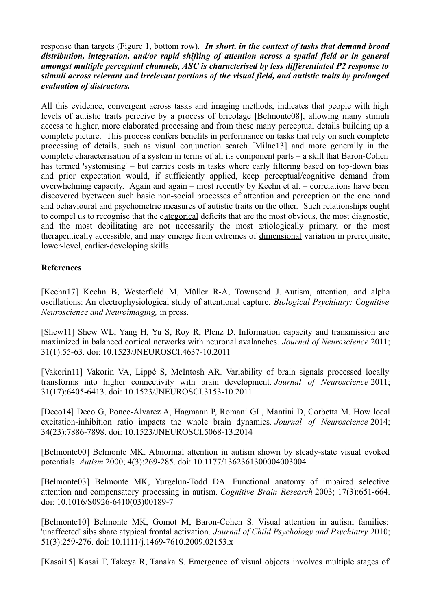response than targets (Figure 1, bottom row). *In short, in the context of tasks that demand broad distribution, integration, and/or rapid shifting of attention across a spatial field or in general amongst multiple perceptual channels, ASC is characterised by less differentiated P2 response to stimuli across relevant and irrelevant portions of the visual field, and autistic traits by prolonged evaluation of distractors.*

All this evidence, convergent across tasks and imaging methods, indicates that people with high levels of autistic traits perceive by a process of bricolage [Belmonte08], allowing many stimuli access to higher, more elaborated processing and from these many perceptual details building up a complete picture. This process confers benefits in performance on tasks that rely on such complete processing of details, such as visual conjunction search [Milne13] and more generally in the complete characterisation of a system in terms of all its component parts – a skill that Baron-Cohen has termed 'systemising' – but carries costs in tasks where early filtering based on top-down bias and prior expectation would, if sufficiently applied, keep perceptual/cognitive demand from overwhelming capacity. Again and again – most recently by Keehn et al. – correlations have been discovered byetween such basic non-social processes of attention and perception on the one hand and behavioural and psychometric measures of autistic traits on the other. Such relationships ought to compel us to recognise that the categorical deficits that are the most obvious, the most diagnostic, and the most debilitating are not necessarily the most ætiologically primary, or the most therapeutically accessible, and may emerge from extremes of dimensional variation in prerequisite, lower-level, earlier-developing skills.

## **References**

[Keehn17] Keehn B, Westerfield M, Müller R-A, Townsend J. Autism, attention, and alpha oscillations: An electrophysiological study of attentional capture. *Biological Psychiatry: Cognitive Neuroscience and Neuroimaging,* in press.

[Shew11] Shew WL, Yang H, Yu S, Roy R, Plenz D. Information capacity and transmission are maximized in balanced cortical networks with neuronal avalanches. *Journal of Neuroscience* 2011; 31(1):55-63. doi: 10.1523/JNEUROSCI.4637-10.2011

[Vakorin11] Vakorin VA, Lippé S, McIntosh AR. Variability of brain signals processed locally transforms into higher connectivity with brain development. *Journal of Neuroscience* 2011; 31(17):6405-6413. doi: 10.1523/JNEUROSCI.3153-10.2011

[Deco14] Deco G, Ponce-Alvarez A, Hagmann P, Romani GL, Mantini D, Corbetta M. How local excitation-inhibition ratio impacts the whole brain dynamics. *Journal of Neuroscience* 2014; 34(23):7886-7898. doi: 10.1523/JNEUROSCI.5068-13.2014

[Belmonte00] Belmonte MK. Abnormal attention in autism shown by steady-state visual evoked potentials. *Autism* 2000; 4(3):269-285. doi: 10.1177/1362361300004003004

[Belmonte03] Belmonte MK, Yurgelun-Todd DA. Functional anatomy of impaired selective attention and compensatory processing in autism. *Cognitive Brain Research* 2003; 17(3):651-664. doi: 10.1016/S0926-6410(03)00189-7

[Belmonte10] Belmonte MK, Gomot M, Baron-Cohen S. Visual attention in autism families: 'unaffected' sibs share atypical frontal activation. *Journal of Child Psychology and Psychiatry* 2010; 51(3):259-276. doi: 10.1111/j.1469-7610.2009.02153.x

[Kasai15] Kasai T, Takeya R, Tanaka S. Emergence of visual objects involves multiple stages of